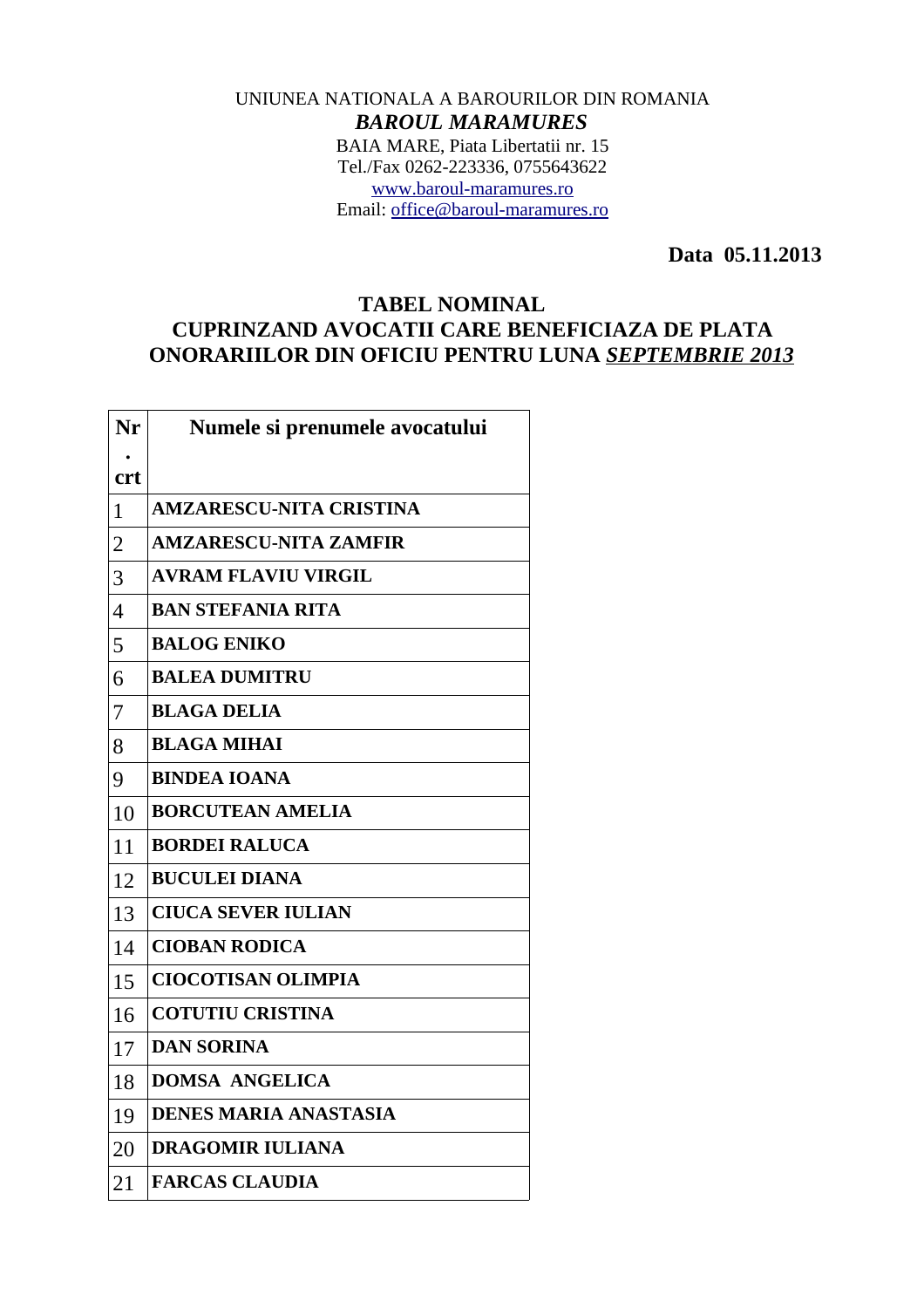## UNIUNEA NATIONALA A BAROURILOR DIN ROMANIA *BAROUL MARAMURES* BAIA MARE, Piata Libertatii nr. 15 Tel./Fax 0262-223336, 0755643622 [www.baroul-maramures.ro](http://www.baroul-maramures.ro/) Email: [office@baroul-maramures.ro](mailto:office@baroul-maramures.ro)

 **Data 05.11.2013**

## **TABEL NOMINAL CUPRINZAND AVOCATII CARE BENEFICIAZA DE PLATA ONORARIILOR DIN OFICIU PENTRU LUNA** *SEPTEMBRIE 2013*

| Nr                       | Numele si prenumele avocatului |
|--------------------------|--------------------------------|
| <b>crt</b>               |                                |
| $\mathbf{1}$             | <b>AMZARESCU-NITA CRISTINA</b> |
| $\overline{2}$           | <b>AMZARESCU-NITA ZAMFIR</b>   |
| 3                        | <b>AVRAM FLAVIU VIRGIL</b>     |
| $\overline{\mathcal{A}}$ | <b>BAN STEFANIA RITA</b>       |
| 5                        | <b>BALOG ENIKO</b>             |
| 6                        | <b>BALEA DUMITRU</b>           |
| 7                        | <b>BLAGA DELIA</b>             |
| 8                        | <b>BLAGA MIHAI</b>             |
| 9                        | <b>BINDEA IOANA</b>            |
| 10                       | <b>BORCUTEAN AMELIA</b>        |
| 11                       | <b>BORDEI RALUCA</b>           |
| 12                       | <b>BUCULEI DIANA</b>           |
| 13                       | <b>CIUCA SEVER IULIAN</b>      |
| 14                       | <b>CIOBAN RODICA</b>           |
| 15                       | <b>CIOCOTISAN OLIMPIA</b>      |
| 16                       | <b>COTUTIU CRISTINA</b>        |
| 17                       | <b>DAN SORINA</b>              |
| 18                       | <b>DOMSA ANGELICA</b>          |
| 19                       | <b>DENES MARIA ANASTASIA</b>   |
| 20                       | <b>DRAGOMIR IULIANA</b>        |
| 21                       | <b>FARCAS CLAUDIA</b>          |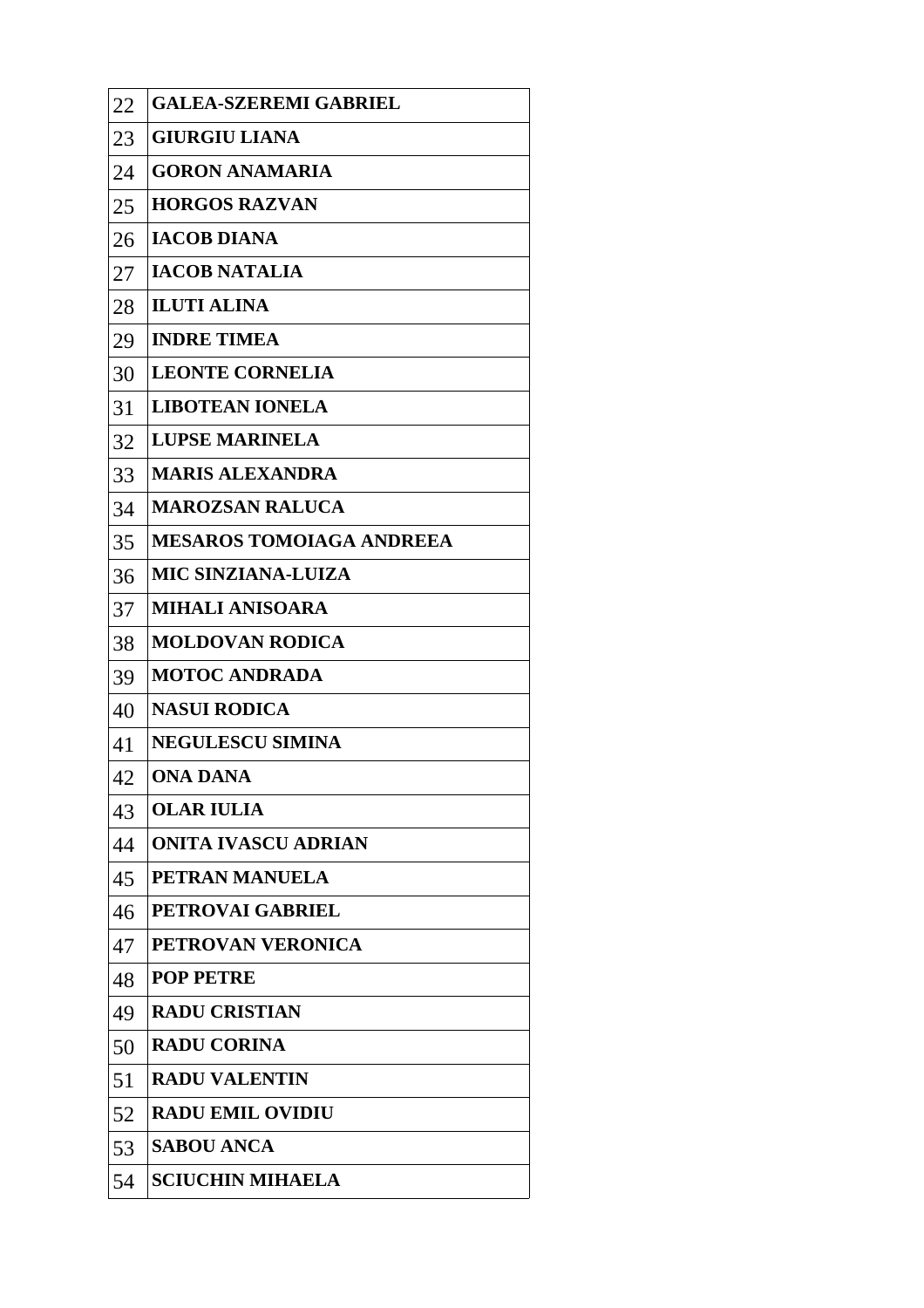| 22 | <b>GALEA-SZEREMI GABRIEL</b>    |
|----|---------------------------------|
| 23 | <b>GIURGIU LIANA</b>            |
| 24 | <b>GORON ANAMARIA</b>           |
| 25 | <b>HORGOS RAZVAN</b>            |
| 26 | <b>IACOB DIANA</b>              |
| 27 | <b>IACOB NATALIA</b>            |
| 28 | <b>ILUTI ALINA</b>              |
| 29 | <b>INDRE TIMEA</b>              |
| 30 | <b>LEONTE CORNELIA</b>          |
| 31 | <b>LIBOTEAN IONELA</b>          |
| 32 | <b>LUPSE MARINELA</b>           |
| 33 | <b>MARIS ALEXANDRA</b>          |
| 34 | <b>MAROZSAN RALUCA</b>          |
| 35 | <b>MESAROS TOMOIAGA ANDREEA</b> |
| 36 | <b>MIC SINZIANA-LUIZA</b>       |
| 37 | <b>MIHALI ANISOARA</b>          |
| 38 | <b>MOLDOVAN RODICA</b>          |
| 39 | <b>MOTOC ANDRADA</b>            |
| 40 | <b>NASUI RODICA</b>             |
| 41 | <b>NEGULESCU SIMINA</b>         |
| 42 | <b>ONA DANA</b>                 |
| 43 | <b>OLAR IULIA</b>               |
| 44 | <b>ONITA IVASCU ADRIAN</b>      |
| 45 | PETRAN MANUELA                  |
| 46 | <b>PETROVAI GABRIEL</b>         |
| 47 | PETROVAN VERONICA               |
| 48 | <b>POP PETRE</b>                |
| 49 | <b>RADU CRISTIAN</b>            |
| 50 | <b>RADU CORINA</b>              |
| 51 | <b>RADU VALENTIN</b>            |
| 52 | <b>RADU EMIL OVIDIU</b>         |
| 53 | <b>SABOU ANCA</b>               |
| 54 | <b>SCIUCHIN MIHAELA</b>         |